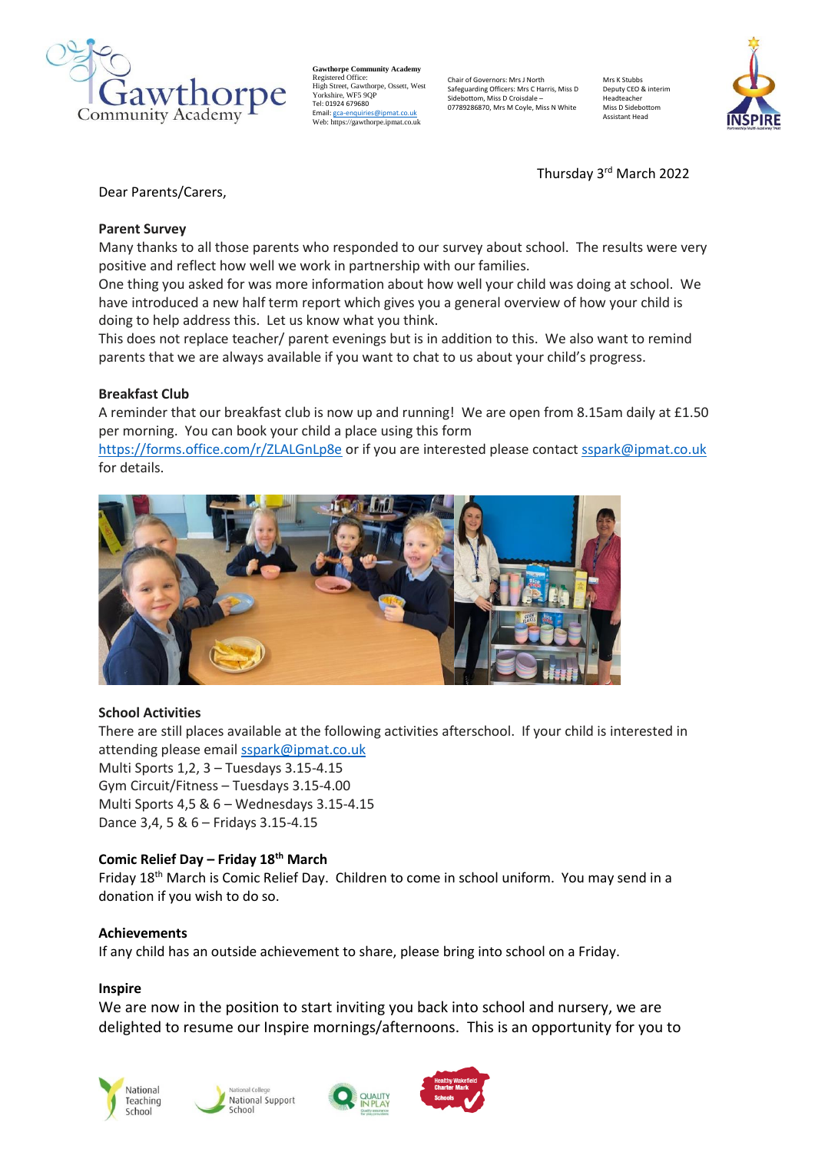

**Gawthorpe Community Academy** Registered Office: High Street, Gawthorpe, Ossett, West Yorkshire, WF5 9QP Tel: 01924 679680 Email[: gca-enquiries@ipmat.co.uk](mailto:gca-enquiries@ipmat.co.uk) Web: https://gawthorpe.ipmat.co.uk

Chair of Governors: Mrs J North Safeguarding Officers: Mrs C Harris, Miss D Sidebottom, Miss D Croisdale – 07789286870, Mrs M Coyle, Miss N White

Mrs K Stubb Deputy CEO & interim Headteacher Miss D Sidebotto Assistant Head



Thursday 3<sup>rd</sup> March 2022

Dear Parents/Carers,

# **Parent Survey**

Many thanks to all those parents who responded to our survey about school. The results were very positive and reflect how well we work in partnership with our families.

One thing you asked for was more information about how well your child was doing at school. We have introduced a new half term report which gives you a general overview of how your child is doing to help address this. Let us know what you think.

This does not replace teacher/ parent evenings but is in addition to this. We also want to remind parents that we are always available if you want to chat to us about your child's progress.

# **Breakfast Club**

A reminder that our breakfast club is now up and running! We are open from 8.15am daily at £1.50 per morning. You can book your child a place using this form

<https://forms.office.com/r/ZLALGnLp8e> or if you are interested please contact [sspark@ipmat.co.uk](mailto:sspark@ipmat.co.uk) for details.



## **School Activities**

There are still places available at the following activities afterschool. If your child is interested in attending please email [sspark@ipmat.co.uk](mailto:sspark@ipmat.co.uk) Multi Sports 1,2, 3 – Tuesdays 3.15-4.15 Gym Circuit/Fitness – Tuesdays 3.15-4.00 Multi Sports 4,5 & 6 – Wednesdays 3.15-4.15 Dance 3,4, 5 & 6 – Fridays 3.15-4.15

# **Comic Relief Day – Friday 18th March**

Friday 18<sup>th</sup> March is Comic Relief Day. Children to come in school uniform. You may send in a donation if you wish to do so.

## **Achievements**

If any child has an outside achievement to share, please bring into school on a Friday.

## **Inspire**

We are now in the position to start inviting you back into school and nursery, we are delighted to resume our Inspire mornings/afternoons. This is an opportunity for you to







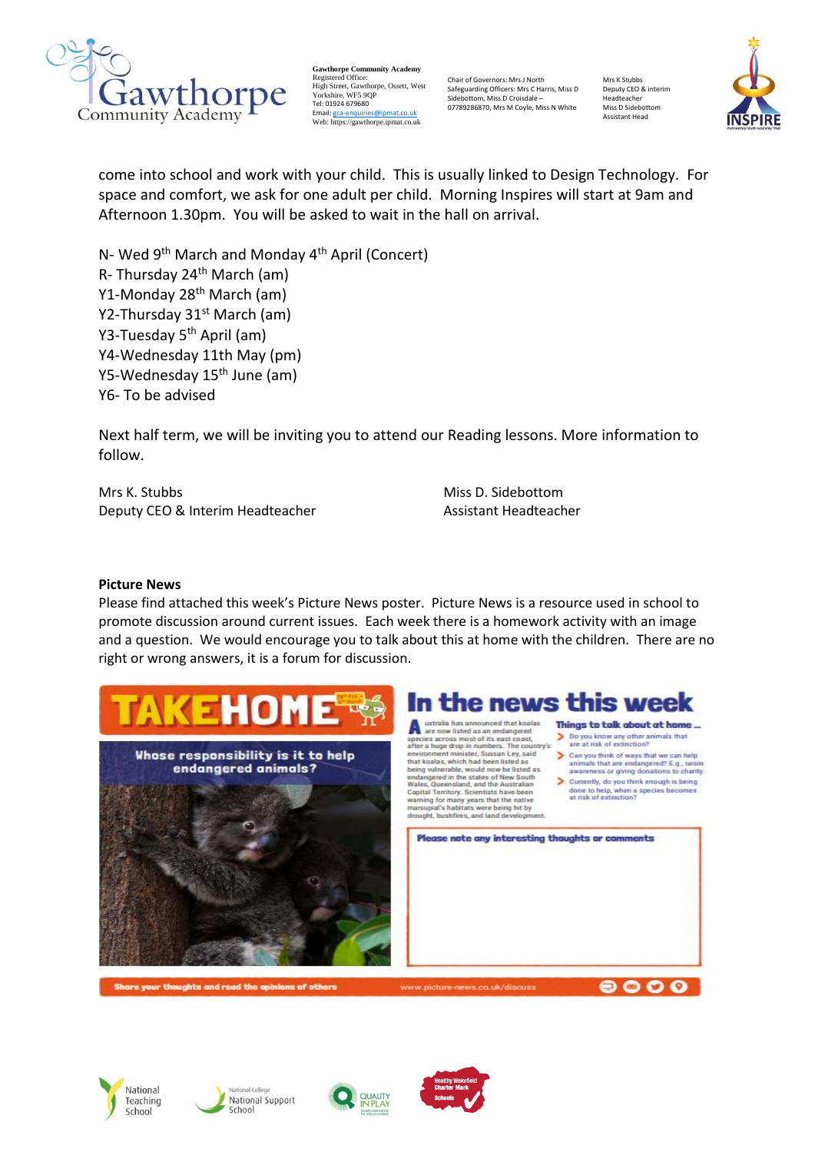

**Gawthorpe Community Academy** Registered Office: High Street, Gawthorpe, Ossett, West Yorkshire, WF5 9QP Tel: 01924 679680 Email[: gca-enquiries@ipmat.co.uk](mailto:gca-enquiries@ipmat.co.uk) Web: https://gawthorpe.ipmat.co.uk

Chair of Governors: Mrs J North Safeguarding Officers: Mrs C Harris, Miss D Sidebottom, Miss D Croisdale – 07789286870, Mrs M Coyle, Miss N White

Mrs K Stubbs Deputy CEO & interim Headteacher Miss D Sidebottom Assistant Head



come into school and work with your child. This is usually linked to Design Technology. For space and comfort, we ask for one adult per child. Morning Inspires will start at 9am and Afternoon 1.30pm. You will be asked to wait in the hall on arrival.

N- Wed 9<sup>th</sup> March and Monday 4<sup>th</sup> April (Concert) R- Thursday 24<sup>th</sup> March (am) Y1-Monday 28th March (am) Y2-Thursday 31<sup>st</sup> March (am) Y3-Tuesday 5<sup>th</sup> April (am) Y4-Wednesday 11th May (pm) Y5-Wednesday 15th June (am) Y6- To be advised

Next half term, we will be inviting you to attend our Reading lessons. More information to follow.

Mrs K. Stubbs Miss D. Sidebottom Deputy CEO & Interim Headteacher **Assistant Headteacher** Assistant Headteacher

## **Picture News**

Please find attached this week's Picture News poster. Picture News is a resource used in school to promote discussion around current issues. Each week there is a homework activity with an image and a question. We would encourage you to talk about this at home with the children. There are no right or wrong answers, it is a forum for discussion.